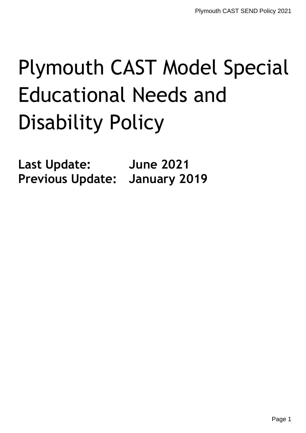# Plymouth CAST Model Special Educational Needs and Disability Policy

**Last Update: June 2021 Previous Update: January 2019**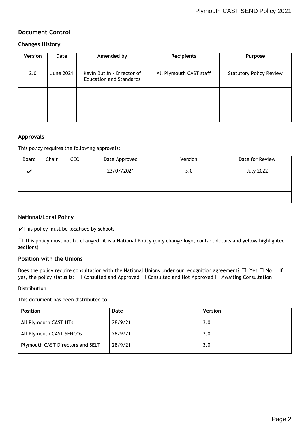## **Document Control**

### **Changes History**

| Version | Date      | Amended by                                                   | Recipients              | <b>Purpose</b>                 |
|---------|-----------|--------------------------------------------------------------|-------------------------|--------------------------------|
|         |           |                                                              |                         |                                |
| 2.0     | June 2021 | Kevin Butlin - Director of<br><b>Education and Standards</b> | All Plymouth CAST staff | <b>Statutory Policy Review</b> |
|         |           |                                                              |                         |                                |
|         |           |                                                              |                         |                                |

#### **Approvals**

This policy requires the following approvals:

| Board | Chair | <b>CEO</b> | Date Approved | Version | Date for Review  |
|-------|-------|------------|---------------|---------|------------------|
|       |       |            | 23/07/2021    | 3.0     | <b>July 2022</b> |
|       |       |            |               |         |                  |
|       |       |            |               |         |                  |

#### **National/Local Policy**

 $\checkmark$ This policy must be localised by schools

 $\Box$  This policy must not be changed, it is a National Policy (only change logo, contact details and yellow highlighted sections)

#### **Position with the Unions**

Does the policy require consultation with the National Unions under our recognition agreement? □ Yes □ No If yes, the policy status is: □ Consulted and Approved □ Consulted and Not Approved □ Awaiting Consultation

#### **Distribution**

This document has been distributed to:

| <b>Position</b>                  | Date    | <b>Version</b> |
|----------------------------------|---------|----------------|
| All Plymouth CAST HTs            | 28/9/21 | 3.0            |
| All Plymouth CAST SENCOs         | 28/9/21 | 3.0            |
| Plymouth CAST Directors and SELT | 28/9/21 | 3.0            |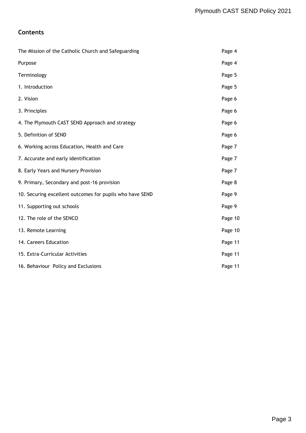## **Contents**

| The Mission of the Catholic Church and Safeguarding      | Page 4  |
|----------------------------------------------------------|---------|
| Purpose                                                  | Page 4  |
| Terminology                                              | Page 5  |
| 1. Introduction                                          | Page 5  |
| 2. Vision                                                | Page 6  |
| 3. Principles                                            | Page 6  |
| 4. The Plymouth CAST SEND Approach and strategy          | Page 6  |
| 5. Definition of SEND                                    | Page 6  |
| 6. Working across Education, Health and Care             | Page 7  |
| 7. Accurate and early identification                     | Page 7  |
| 8. Early Years and Nursery Provision                     | Page 7  |
| 9. Primary, Secondary and post-16 provision              | Page 8  |
| 10. Securing excellent outcomes for pupils who have SEND | Page 9  |
| 11. Supporting out schools                               | Page 9  |
| 12. The role of the SENCO                                | Page 10 |
| 13. Remote Learning                                      | Page 10 |
| 14. Careers Education                                    | Page 11 |
| 15. Extra-Curricular Activities                          | Page 11 |
| 16. Behaviour Policy and Exclusions                      | Page 11 |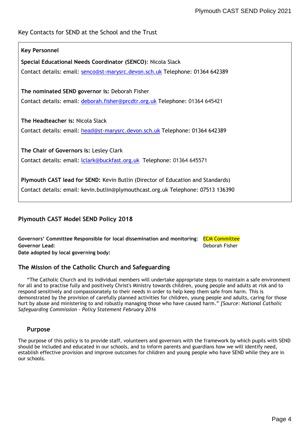## Key Contacts for SEND at the School and the Trust

## **Key Personnel**

**Special Educational Needs Coordinator (SENCO)**: Nicola Slack Contact details: email: [senco@st-marysrc.devon.sch.uk](mailto:senco@st-marysrc.devon.sch.uk) Telephone: 01364 642389

#### **The nominated SEND governor is:** Deborah Fisher

Contact details: email: [deborah.fisher@prcdtr.org.uk](mailto:deborah.fisher@prcdtr.org.uk) Telephone: 01364 645421

#### **The Headteacher is:** Nicola Slack

Contact details: email: [head](mailto:head@st-marysrc.devon.sch.uk)@st[-marysrc.devon.sch.uk](mailto:head@st-marysrc.devon.sch.uk) Telephone: 01364 642389

**The Chair of Governors is:** Lesley Clark Contact details: email: *Iclark@buckfast.org.uk* Telephone: 01364 645571

**Plymouth CAST lead for SEND:** Kevin Butlin (Director of Education and Standards)

Contact details: email: kevin.butlin@plymouthcast.org.uk Telephone: 07513 136390

## **Plymouth CAST Model SEND Policy 2018**

**Governors' Committee Responsible for local dissemination and monitoring**: ECM Committee **Governor Lead**: Deborah Fisher

**Date adopted by local governing body:** 

## **The Mission of the Catholic Church and Safeguarding**

"The Catholic Church and its individual members will undertake appropriate steps to maintain a safe environment for all and to practise fully and positively Christ's Ministry towards children, young people and adults at risk and to respond sensitively and compassionately to their needs in order to help keep them safe from harm. This is demonstrated by the provision of carefully planned activities for children, young people and adults, caring for those hurt by abuse and ministering to and robustly managing those who have caused harm." *[Source: National Catholic Safeguarding Commission - Policy Statement February 2016*

#### **Purpose**

The purpose of this policy is to provide staff, volunteers and governors with the framework by which pupils with SEND should be included and educated in our schools, and to inform parents and guardians how we will identify need, establish effective provision and improve outcomes for children and young people who have SEND while they are in our schools.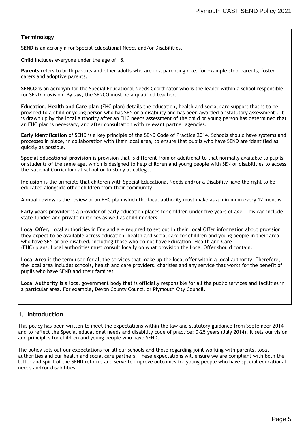#### **Terminology**

**SEND** is an acronym for Special Educational Needs and/or Disabilities.

**Child** includes everyone under the age of 18.

**Parents** refers to birth parents and other adults who are in a parenting role, for example step-parents, foster carers and adoptive parents.

**SENCO** is an acronym for the Special Educational Needs Coordinator who is the leader within a school responsible for SEND provision. By law, the SENCO must be a qualified teacher.

**Education, Health and Care plan** (EHC plan) details the education, health and social care support that is to be provided to a child or young person who has SEN or a disability and has been awarded a 'statutory assessment'. It is drawn up by the local authority after an EHC needs assessment of the child or young person has determined that an EHC plan is necessary, and after consultation with relevant partner agencies.

**Early identification** of SEND is a key principle of the SEND Code of Practice 2014. Schools should have systems and processes in place, in collaboration with their local area, to ensure that pupils who have SEND are identified as quickly as possible.

**Special educational provision** is provision that is different from or additional to that normally available to pupils or students of the same age, which is designed to help children and young people with SEN or disabilities to access the National Curriculum at school or to study at college.

**Inclusion** is the principle that children with Special Educational Needs and/or a Disability have the right to be educated alongside other children from their community.

**Annual review** is the review of an EHC plan which the local authority must make as a minimum every 12 months.

**Early years provider** is a provider of early education places for children under five years of age. This can include state-funded and private nurseries as well as child minders.

**Local Offer.** Local authorities in England are required to set out in their Local Offer information about provision they expect to be available across education, health and social care for children and young people in their area who have SEN or are disabled, including those who do not have Education, Health and Care (EHC) plans. Local authorities must consult locally on what provision the Local Offer should contain.

**Local Area** is the term used for all the services that make up the local offer within a local authority. Therefore, the local area includes schools, health and care providers, charities and any service that works for the benefit of pupils who have SEND and their families.

**Local Authority** is a local government body that is officially responsible for all the public services and facilities in a particular area. For example, Devon County Council or Plymouth City Council.

## **1. Introduction**

This policy has been written to meet the expectations within the law and statutory guidance from September 2014 and to reflect the Special educational needs and disability code of practice: 0-25 years (July 2014). It sets our vision and principles for children and young people who have SEND.

The policy sets out our expectations for all our schools and those regarding joint working with parents, local authorities and our health and social care partners. These expectations will ensure we are compliant with both the letter and spirit of the SEND reforms and serve to improve outcomes for young people who have special educational needs and/or disabilities.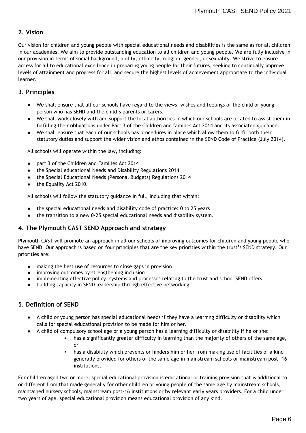## **2. Vision**

Our vision for children and young people with special educational needs and disabilities is the same as for all children in our academies. We aim to provide outstanding education to all children and young people. We are fully inclusive in our provision in terms of social background, ability, ethnicity, religion, gender, or sexuality. We strive to ensure access for all to educational excellence in preparing young people for their futures, seeking to continually improve levels of attainment and progress for all, and secure the highest levels of achievement appropriate to the individual learner.

### **3. Principles**

- We shall ensure that all our schools have regard to the views, wishes and feelings of the child or young person who has SEND and the child's parents or carers.
- We shall work closely with and support the local authorities in which our schools are located to assist them in fulfilling their obligations under Part 3 of the Children and families Act 2014 and its associated guidance.
- We shall ensure that each of our schools has procedures in place which allow them to fulfil both their statutory duties and support the wider vision and ethos contained in the SEND Code of Practice (July 2014).

All schools will operate within the law, including:

- part 3 of the Children and Families Act 2014
- the Special educational Needs and Disability Regulations 2014
- the Special Educational Needs (Personal Budgets) Regulations 2014
- the Equality Act 2010.

All schools will follow the statutory guidance in full, including that within:

- the special educational needs and disability code of practice: 0 to 25 years
- the transition to a new 0-25 special educational needs and disability system.

## **4. The Plymouth CAST SEND Approach and strategy**

Plymouth CAST will promote an approach in all our schools of improving outcomes for children and young people who have SEND. Our approach is based on four principles that are the key priorities within the trust's SEND strategy. Our priorities are:

- making the best use of resources to close gaps in provision
- improving outcomes by strengthening inclusion
- implementing effective policy, systems and processes relating to the trust and school SEND offers
- building capacity in SEND leadership through effective networking

## **5. Definition of SEND**

- A child or young person has special educational needs if they have a learning difficulty or disability which calls for special educational provision to be made for him or her.
	- A child of compulsory school age or a young person has a learning difficulty or disability if he or she:
		- has a significantly greater difficulty in learning than the majority of others of the same age, or
		- has a disability which prevents or hinders him or her from making use of facilities of a kind generally provided for others of the same age in mainstream schools or mainstream post- 16 institutions.

For children aged two or more, special educational provision is educational or training provision that is additional to or different from that made generally for other children or young people of the same age by mainstream schools, maintained nursery schools, mainstream post-16 institutions or by relevant early years providers. For a child under two years of age, special educational provision means educational provision of any kind.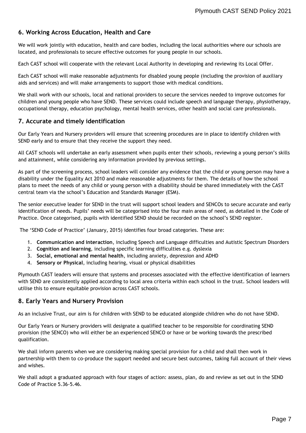## **6. Working Across Education, Health and Care**

We will work jointly with education, health and care bodies, including the local authorities where our schools are located, and professionals to secure effective outcomes for young people in our schools.

Each CAST school will cooperate with the relevant Local Authority in developing and reviewing its Local Offer.

Each CAST school will make reasonable adjustments for disabled young people (including the provision of auxiliary aids and services) and will make arrangements to support those with medical conditions.

We shall work with our schools, local and national providers to secure the services needed to improve outcomes for children and young people who have SEND. These services could include speech and language therapy, physiotherapy, occupational therapy, education psychology, mental health services, other health and social care professionals.

#### **7. Accurate and timely identification**

Our Early Years and Nursery providers will ensure that screening procedures are in place to identify children with SEND early and to ensure that they receive the support they need.

All CAST schools will undertake an early assessment when pupils enter their schools, reviewing a young person's skills and attainment, while considering any information provided by previous settings.

As part of the screening process, school leaders will consider any evidence that the child or young person may have a disability under the Equality Act 2010 and make reasonable adjustments for them. The details of how the school plans to meet the needs of any child or young person with a disability should be shared immediately with the CAST central team via the school's Education and Standards Manager (ESM).

The senior executive leader for SEND in the trust will support school leaders and SENCOs to secure accurate and early identification of needs. Pupils' needs will be categorised into the four main areas of need, as detailed in the Code of Practice. Once categorised, pupils with identified SEND should be recorded on the school's SEND register.

The 'SEND Code of Practice' (January, 2015) identifies four broad categories. These are:

- 1. **Communication and interaction**, including Speech and Language difficulties and Autistic Spectrum Disorders
- 2. **Cognition and learning**, including specific learning difficulties e.g. dyslexia
- 3. **Social, emotional and mental health**, including anxiety, depression and ADHD
- 4. **Sensory or Physical**, including hearing, visual or physical disabilities

Plymouth CAST leaders will ensure that systems and processes associated with the effective identification of learners with SEND are consistently applied according to local area criteria within each school in the trust. School leaders will utilise this to ensure equitable provision across CAST schools.

#### **8. Early Years and Nursery Provision**

As an inclusive Trust, our aim is for children with SEND to be educated alongside children who do not have SEND.

Our Early Years or Nursery providers will designate a qualified teacher to be responsible for coordinating SEND provision (the SENCO) who will either be an experienced SENCO or have or be working towards the prescribed qualification.

We shall inform parents when we are considering making special provision for a child and shall then work in partnership with them to co-produce the support needed and secure best outcomes, taking full account of their views and wishes.

We shall adopt a graduated approach with four stages of action: assess, plan, do and review as set out in the SEND Code of Practice 5.36-5.46.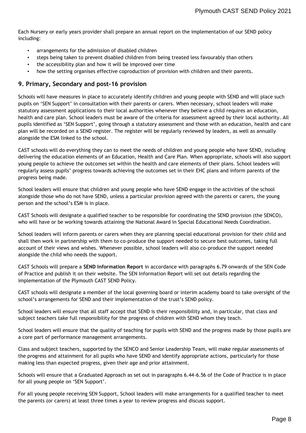Each Nursery or early years provider shall prepare an annual report on the implementation of our SEND policy including:

- arrangements for the admission of disabled children
- steps being taken to prevent disabled children from being treated less favourably than others
- the accessibility plan and how it will be improved over time
- how the setting organises effective coproduction of provision with children and their parents.

#### **9. Primary, Secondary and post-16 provision**

Schools will have measures in place to accurately identify children and young people with SEND and will place such pupils on 'SEN Support' in consultation with their parents or carers. When necessary, school leaders will make statutory assessment applications to their local authorities whenever they believe a child requires an education, health and care plan. School leaders must be aware of the criteria for assessment agreed by their local authority. All pupils identified as 'SEN Support', going through a statutory assessment and those with an education, health and care plan will be recorded on a SEND register. The register will be regularly reviewed by leaders, as well as annually alongside the ESM linked to the school.

CAST schools will do everything they can to meet the needs of children and young people who have SEND, including delivering the education elements of an Education, Health and Care Plan. When appropriate, schools will also support young people to achieve the outcomes set within the health and care elements of their plans. School leaders will regularly assess pupils' progress towards achieving the outcomes set in their EHC plans and inform parents of the progress being made.

School leaders will ensure that children and young people who have SEND engage in the activities of the school alongside those who do not have SEND, unless a particular provision agreed with the parents or carers, the young person and the school's ESM is in place.

CAST Schools will designate a qualified teacher to be responsible for coordinating the SEND provision (the SENCO), who will have or be working towards attaining the National Award in Special Educational Needs Coordination.

School leaders will inform parents or carers when they are planning special educational provision for their child and shall then work in partnership with them to co-produce the support needed to secure best outcomes, taking full account of their views and wishes. Whenever possible, school leaders will also co-produce the support needed alongside the child who needs the support.

CAST Schools will prepare a **SEND Information Report** in accordance with paragraphs 6.79 onwards of the SEN Code of Practice and publish it on their website. The SEN Information Report will set out details regarding the implementation of the Plymouth CAST SEND Policy.

CAST schools will designate a member of the local governing board or interim academy board to take oversight of the school's arrangements for SEND and their implementation of the trust's SEND policy.

School leaders will ensure that all staff accept that SEND is their responsibility and, in particular, that class and subject teachers take full responsibility for the progress of children with SEND whom they teach.

School leaders will ensure that the quality of teaching for pupils with SEND and the progress made by those pupils are a core part of performance management arrangements.

Class and subject teachers, supported by the SENCO and Senior Leadership Team, will make regular assessments of the progress and attainment for all pupils who have SEND and identify appropriate actions, particularly for those making less than expected progress, given their age and prior attainment.

Schools will ensure that a Graduated Approach as set out in paragraphs 6.44-6.56 of the Code of Practice is in place for all young people on 'SEN Support'.

For all young people receiving SEN Support, School leaders will make arrangements for a qualified teacher to meet the parents (or carers) at least three times a year to review progress and discuss support.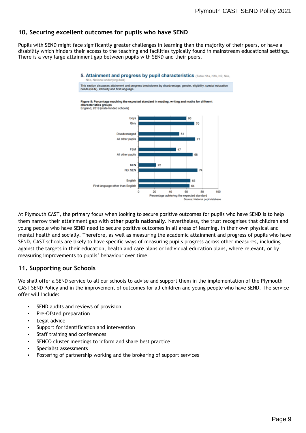## **10. Securing excellent outcomes for pupils who have SEND**

Pupils with SEND might face significantly greater challenges in learning than the majority of their peers, or have a disability which hinders their access to the teaching and facilities typically found in mainstream educational settings. There is a very large attainment gap between pupils with SEND and their peers.



5. Attainment and progress by pupil characteristics (Table N1a, N1b, N2, N4a,

At Plymouth CAST, the primary focus when looking to secure positive outcomes for pupils who have SEND is to help them narrow their attainment gap with **other pupils nationally**. Nevertheless, the trust recognises that children and young people who have SEND need to secure positive outcomes in all areas of learning, in their own physical and mental health and socially. Therefore, as well as measuring the academic attainment and progress of pupils who have SEND, CAST schools are likely to have specific ways of measuring pupils progress across other measures, including against the targets in their education, health and care plans or individual education plans, where relevant, or by measuring improvements to pupils' behaviour over time.

#### **11. Supporting our Schools**

We shall offer a SEND service to all our schools to advise and support them in the implementation of the Plymouth CAST SEND Policy and in the improvement of outcomes for all children and young people who have SEND. The service offer will include:

- SEND audits and reviews of provision
- Pre-Ofsted preparation
- Legal advice
- Support for identification and intervention
- Staff training and conferences
- SENCO cluster meetings to inform and share best practice
- Specialist assessments
- Fostering of partnership working and the brokering of support services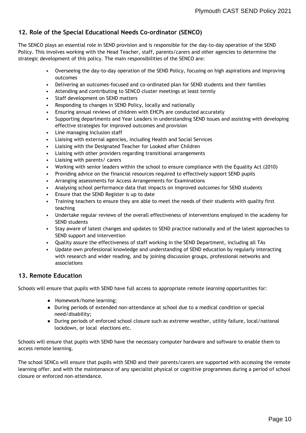## **12. Role of the Special Educational Needs Co-ordinator (SENCO)**

The SENCO plays an essential role in SEND provision and is responsible for the day-to-day operation of the SEND Policy. This involves working with the Head Teacher, staff, parents/carers and other agencies to determine the strategic development of this policy. The main responsibilities of the SENCO are:

- Overseeing the day-to-day operation of the SEND Policy, focusing on high aspirations and improving outcomes
- Delivering an outcomes-focused and co-ordinated plan for SEND students and their families
- Attending and contributing to SENCO cluster meetings at least termly
- Staff development on SEND matters
- Responding to changes in SEND Policy, locally and nationally
- Ensuring annual reviews of children with EHCPs are conducted accurately
- Supporting departments and Year Leaders in understanding SEND issues and assisting with developing effective strategies for improved outcomes and provision
- Line managing Inclusion staff
- Liaising with external agencies, including Health and Social Services
- Liaising with the Designated Teacher for Looked after Children
- Liaising with other providers regarding transitional arrangements
- Liaising with parents/ carers
- Working with senior leaders within the school to ensure compliance with the Equality Act (2010)
- Providing advice on the financial resources required to effectively support SEND pupils
- Arranging assessments for Access Arrangements for Examinations
- Analysing school performance data that impacts on improved outcomes for SEND students
- Ensure that the SEND Register is up to date
- Training teachers to ensure they are able to meet the needs of their students with quality first teaching
- Undertake regular reviews of the overall effectiveness of interventions employed in the academy for SEND students
- Stay aware of latest changes and updates to SEND practice nationally and of the latest approaches to SEND support and intervention
- Quality assure the effectiveness of staff working in the SEND Department, including all TAs
- Update own professional knowledge and understanding of SEND education by regularly interacting with research and wider reading, and by joining discussion groups, professional networks and associations

## **13. Remote Education**

Schools will ensure that pupils with SEND have full access to appropriate *remote learning* opportunities for:

- Homework/home learning;
- During periods of extended non-attendance at school due to a medical condition or special need/disability;
- During periods of enforced school closure such as extreme weather, utility failure, local/national lockdown, or local elections etc.

Schools will ensure that pupils with SEND have the necessary computer hardware and software to enable them to access remote learning.

The school SENCo will ensure that pupils with SEND and their parents/carers are supported with accessing the remote learning offer. and with the maintenance of any specialist physical or cognitive programmes during a period of school closure or enforced non-attendance.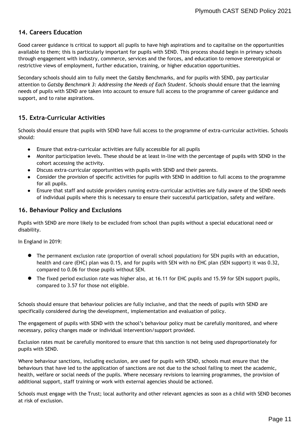## **14. Careers Education**

Good career guidance is critical to support all pupils to have high aspirations and to capitalise on the opportunities available to them; this is particularly important for pupils with SEND. This process should begin in primary schools through engagement with industry, commerce, services and the forces, and education to remove stereotypical or restrictive views of employment, further education, training, or higher education opportunities.

Secondary schools should aim to fully meet the Gatsby Benchmarks, and for pupils with SEND, pay particular attention to *Gatsby Benchmark 3: Addressing the Needs of Each Student*. Schools should ensure that the learning needs of pupils with SEND are taken into account to ensure full access to the programme of career guidance and support, and to raise aspirations.

## **15. Extra-Curricular Activities**

Schools should ensure that pupils with SEND have full access to the programme of extra-curricular activities. Schools should:

- Ensure that extra-curricular activities are fully accessible for all pupils
- Monitor participation levels. These should be at least in-line with the percentage of pupils with SEND in the cohort accessing the activity.
- Discuss extra-curricular opportunities with pupils with SEND and their parents.
- Consider the provision of specific activities for pupils with SEND in addition to full access to the programme for all pupils.
- Ensure that staff and outside providers running extra-curricular activities are fully aware of the SEND needs of individual pupils where this is necessary to ensure their successful participation, safety and welfare.

#### **16. Behaviour Policy and Exclusions**

Pupils with SEND are more likely to be excluded from school than pupils without a special educational need or disability.

In England in 2019:

- The permanent exclusion rate (proportion of overall school population) for SEN pupils with an education, health and care (EHC) plan was 0.15, and for pupils with SEN with no EHC plan (SEN support) it was 0.32, compared to 0.06 for those pupils without SEN.
- The fixed period exclusion rate was higher also, at 16.11 for EHC pupils and 15.59 for SEN support pupils, compared to 3.57 for those not eligible.

Schools should ensure that behaviour policies are fully inclusive, and that the needs of pupils with SEND are specifically considered during the development, implementation and evaluation of policy.

The engagement of pupils with SEND with the school's behaviour policy must be carefully monitored, and where necessary, policy changes made or individual intervention/support provided.

Exclusion rates must be carefully monitored to ensure that this sanction is not being used disproportionately for pupils with SEND.

Where behaviour sanctions, including exclusion, are used for pupils with SEND, schools must ensure that the behaviours that have led to the application of sanctions are not due to the school failing to meet the academic, health, welfare or social needs of the pupils. Where necessary revisions to learning programmes, the provision of additional support, staff training or work with external agencies should be actioned.

Schools must engage with the Trust; local authority and other relevant agencies as soon as a child with SEND becomes at risk of exclusion.